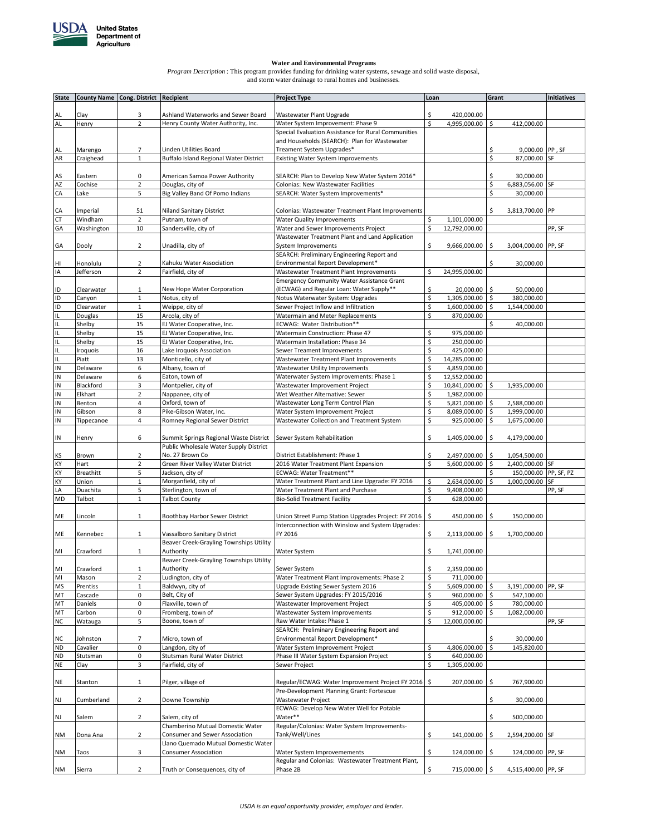

**Water and Environmental Programs** *Program Description* : This program provides funding for drinking water systems, sewage and solid waste disposal, and storm water drainage to rural homes and businesses.

| <b>State</b> | County Name Cong. District Recipient |                         |                                         | <b>Project Type</b>                                 | Loan                | Grant |                     | Initiatives |
|--------------|--------------------------------------|-------------------------|-----------------------------------------|-----------------------------------------------------|---------------------|-------|---------------------|-------------|
|              |                                      |                         |                                         |                                                     |                     |       |                     |             |
| AL           | Clay                                 | 3                       | Ashland Waterworks and Sewer Board      | Wastewater Plant Upgrade                            | \$<br>420,000.00    |       |                     |             |
| AL           | Henry                                | $\overline{2}$          | Henry County Water Authority, Inc.      | Water System Improvement: Phase 9                   | \$<br>4,995,000.00  | \$    | 412,000.00          |             |
|              |                                      |                         |                                         | Special Evaluation Assistance for Rural Communities |                     |       |                     |             |
|              |                                      |                         |                                         | and Households (SEARCH): Plan for Wastewater        |                     |       |                     |             |
| AL           | Marengo                              | 7                       | Linden Utilities Board                  | Treament System Upgrades*                           |                     | \$    | 9,000.00 PP, SF     |             |
| AR           | Craighead                            | $\mathbf{1}$            | Buffalo Island Regional Water District  | <b>Existing Water System Improvements</b>           |                     | \$    | 87,000.00           | <b>SF</b>   |
|              |                                      |                         |                                         |                                                     |                     |       |                     |             |
| AS           | Eastern                              | 0                       | American Samoa Power Authority          | SEARCH: Plan to Develop New Water System 2016*      |                     | \$    | 30,000.00           |             |
| AZ           | Cochise                              | $\mathbf 2$             | Douglas, city of                        | Colonias: New Wastewater Facilities                 |                     | \$    | 6,883,056.00        | SF          |
| CA           | Lake                                 | 5                       | Big Valley Band Of Pomo Indians         | SEARCH: Water System Improvements*                  |                     | \$    | 30,000.00           |             |
|              |                                      |                         |                                         |                                                     |                     |       |                     |             |
| CA           | Imperial                             | 51                      | <b>Niland Sanitary District</b>         | Colonias: Wastewater Treatment Plant Improvements   |                     |       | 3,813,700.00 PP     |             |
| <b>CT</b>    | Windham                              | $\mathbf 2$             | Putnam, town of                         | <b>Water Quality Improvements</b>                   | 1,101,000.00<br>\$  |       |                     |             |
| GA           | Washington                           | 10                      | Sandersville, city of                   | Water and Sewer Improvements Project                | \$<br>12,792,000.00 |       |                     | PP, SF      |
|              |                                      |                         |                                         | Wastewater Treatment Plant and Land Application     |                     |       |                     |             |
|              |                                      |                         |                                         |                                                     |                     |       |                     |             |
| GA           | Dooly                                | $\overline{2}$          | Unadilla, city of                       | System Improvements                                 | \$<br>9,666,000.00  | \$    | 3,004,000.00 PP, SF |             |
|              |                                      |                         |                                         | SEARCH: Preliminary Engineering Report and          |                     |       |                     |             |
| HI           | Honolulu                             | $\overline{2}$          | Kahuku Water Association                | Environmental Report Development*                   |                     | Ś.    | 30,000.00           |             |
| IA           | Jefferson                            | $\overline{2}$          | Fairfield, city of                      | Wastewater Treatment Plant Improvements             | \$<br>24,995,000.00 |       |                     |             |
|              |                                      |                         |                                         | <b>Emergency Community Water Assistance Grant</b>   |                     |       |                     |             |
| ID           | Clearwater                           | 1                       | New Hope Water Corporation              | (ECWAG) and Regular Loan: Water Supply**            | \$<br>20,000.00     | \$    | 50,000.00           |             |
| <b>ID</b>    | Canyon                               | $\mathbf 1$             | Notus, city of                          | Notus Waterwater System: Upgrades                   | \$<br>1,305,000.00  | \$    | 380,000.00          |             |
| ID           | Clearwater                           | $\mathbf 1$             | Weippe, city of                         | Sewer Project Inflow and Infiltration               | \$<br>1,600,000.00  | \$    | 1,544,000.00        |             |
| IL           | Douglas                              | 15                      | Arcola, city of                         | Watermain and Meter Replacements                    | \$<br>870,000.00    |       |                     |             |
| IL           | Shelby                               | 15                      | EJ Water Cooperative, Inc.              | ECWAG: Water Distribution**                         |                     | Ś.    | 40,000.00           |             |
| IL           | Shelby                               | 15                      | EJ Water Cooperative, Inc.              | Watermain Construction: Phase 47                    | \$<br>975,000.00    |       |                     |             |
| IL           | Shelby                               | 15                      | EJ Water Cooperative, Inc.              | Watermain Installation: Phase 34                    | \$<br>250,000.00    |       |                     |             |
| IL           | Iroquois                             | 16                      | Lake Iroquois Association               | Sewer Treament Improvements                         | \$<br>425,000.00    |       |                     |             |
| IL           | Piatt                                | 13                      | Monticello, city of                     | Wastewater Treatment Plant Improvements             | \$<br>14,285,000.00 |       |                     |             |
| IN           |                                      |                         |                                         | Wastewater Utility Improvements                     |                     |       |                     |             |
|              | Delaware                             | 6                       | Albany, town of                         |                                                     | \$<br>4,859,000.00  |       |                     |             |
| IN           | Delaware                             | 6                       | Eaton, town of                          | Waterwater System Improvements: Phase 1             | \$<br>12,552,000.00 |       |                     |             |
| IN           | Blackford                            | 3                       | Montpelier, city of                     | Wastewater Improvement Project                      | \$<br>10,841,000.00 | Ś     | 1,935,000.00        |             |
| IN           | Elkhart                              | $\overline{\mathbf{c}}$ | Nappanee, city of                       | Wet Weather Alternative: Sewer                      | \$<br>1,982,000.00  |       |                     |             |
| IN           | Benton                               | 4                       | Oxford, town of                         | Wastewater Long Term Control Plan                   | \$<br>5,821,000.00  | \$    | 2,588,000.00        |             |
| IN           | Gibson                               | 8                       | Pike-Gibson Water, Inc.                 | Water System Improvement Project                    | \$<br>8,089,000.00  | \$    | 1,999,000.00        |             |
| IN           | Tippecanoe                           | 4                       | Romney Regional Sewer District          | Wastewater Collection and Treatment System          | \$<br>925,000.00    | \$    | 1,675,000.00        |             |
|              |                                      |                         |                                         |                                                     |                     |       |                     |             |
| IN           | Henry                                | 6                       | Summit Springs Regional Waste District  | Sewer System Rehabilitation                         | \$<br>1,405,000.00  | \$    | 4,179,000.00        |             |
|              |                                      |                         | Public Wholesale Water Supply District  |                                                     |                     |       |                     |             |
| KS           | Brown                                | 2                       | No. 27 Brown Co                         | District Establishment: Phase 1                     | \$<br>2,497,000.00  | \$.   | 1,054,500.00        |             |
| KY           | Hart                                 | $\overline{2}$          | Green River Valley Water District       | 2016 Water Treatment Plant Expansion                | \$<br>5,600,000.00  | \$    | 2,400,000.00 SF     |             |
| KY           | <b>Breathitt</b>                     | 5                       | Jackson, city of                        | ECWAG: Water Treatment**                            |                     | Ś     | 150,000.00          | PP, SF, PZ  |
| KY           | Union                                | $\mathbf 1$             |                                         |                                                     | \$<br>2,634,000.00  | \$    |                     | SF          |
|              |                                      |                         | Morganfield, city of                    | Water Treatment Plant and Line Upgrade: FY 2016     |                     |       | 1,000,000.00        |             |
| LA           | Ouachita                             | 5                       | Sterlington, town of                    | Water Treatment Plant and Purchase                  | \$<br>9,408,000.00  |       |                     | PP, SF      |
| <b>MD</b>    | Talbot                               | $\mathbf{1}$            | <b>Talbot County</b>                    | <b>Bio-Solid Treatment Facility</b>                 | \$<br>628,000.00    |       |                     |             |
|              |                                      |                         |                                         |                                                     |                     |       |                     |             |
| ME           | Lincoln                              | $\mathbf{1}$            | Boothbay Harbor Sewer District          | Union Street Pump Station Upgrades Project: FY 2016 | \$<br>450,000.00    | \$.   | 150,000.00          |             |
|              |                                      |                         |                                         | Interconnection with Winslow and System Upgrades:   |                     |       |                     |             |
| ME           | Kennebec                             | $\mathbf{1}$            | Vassalboro Sanitary District            | FY 2016                                             | \$<br>2,113,000.00  | \$.   | 1,700,000.00        |             |
|              |                                      |                         | Beaver Creek-Grayling Townships Utility |                                                     |                     |       |                     |             |
| MI           | Crawford                             | $\mathbf{1}$            | Authority                               | <b>Water System</b>                                 | \$<br>1,741,000.00  |       |                     |             |
|              |                                      |                         | Beaver Creek-Grayling Townships Utility |                                                     |                     |       |                     |             |
| MI           | Crawford                             | $\mathbf{1}$            | Authority                               | Sewer System                                        | \$<br>2,359,000.00  |       |                     |             |
| MI           | Mason                                | $\overline{\mathbf{c}}$ | Ludington, city of                      | Water Treatment Plant Improvements: Phase 2         | \$<br>711,000.00    |       |                     |             |
| <b>MS</b>    | Prentiss                             | $\mathbf 1$             | Baldwyn, city of                        | Upgrade Existing Sewer System 2016                  | \$<br>5,609,000.00  | Ś     | 3,191,000.00        | PP, SF      |
| MT           | Cascade                              | 0                       | Belt, City of                           | Sewer System Upgrades: FY 2015/2016                 | \$<br>960,000.00    | \$    | 547,100.00          |             |
| MT           | Daniels                              | 0                       | Flaxville, town of                      |                                                     | \$<br>405,000.00    | \$    | 780,000.00          |             |
|              |                                      |                         |                                         | Wastewater Improvement Project                      |                     |       |                     |             |
| MT           | Carbon                               | 0                       | Fromberg, town of                       | Wastewater System Improvements                      | \$<br>912,000.00    | \$    | 1,082,000.00        |             |
| <b>NC</b>    | Watauga                              | 5                       | Boone, town of                          | Raw Water Intake: Phase 1                           | \$<br>12,000,000.00 |       |                     | PP, SF      |
|              |                                      |                         |                                         | SEARCH: Preliminary Engineering Report and          |                     |       |                     |             |
| <b>NC</b>    | Johnston                             | 7                       | Micro, town of                          | Environmental Report Development*                   |                     | \$    | 30,000.00           |             |
| <b>ND</b>    | Cavalier                             | 0                       | Langdon, city of                        | Water System Improvement Project                    | \$<br>4,806,000.00  | \$    | 145,820.00          |             |
| <b>ND</b>    | Stutsman                             | 0                       | Stutsman Rural Water District           | Phase III Water System Expansion Project            | \$<br>640,000.00    |       |                     |             |
| <b>NE</b>    | Clay                                 | 3                       | Fairfield, city of                      | Sewer Project                                       | \$<br>1,305,000.00  |       |                     |             |
|              |                                      |                         |                                         |                                                     |                     |       |                     |             |
| NE           | Stanton                              | $\mathbf{1}$            | Pilger, village of                      | Regular/ECWAG: Water Improvement Project FY 2016    | \$<br>207,000.00    | \$    | 767,900.00          |             |
|              |                                      |                         |                                         | Pre-Development Planning Grant: Fortescue           |                     |       |                     |             |
| <b>NJ</b>    | Cumberland                           | $\overline{2}$          | Downe Township                          | Wastewater Project                                  |                     | \$    | 30,000.00           |             |
|              |                                      |                         |                                         | ECWAG: Develop New Water Well for Potable           |                     |       |                     |             |
|              | Salem                                | $\overline{2}$          | Salem, city of                          | Water**                                             |                     | \$    | 500,000.00          |             |
| <b>NJ</b>    |                                      |                         |                                         |                                                     |                     |       |                     |             |
|              |                                      |                         | Chamberino Mutual Domestic Water        | Regular/Colonias: Water System Improvements-        |                     |       |                     |             |
| <b>NM</b>    | Dona Ana                             | 2                       | Consumer and Sewer Association          | Tank/Well/Lines                                     | \$<br>141,000.00    | \$    | 2,594,200.00 SF     |             |
|              |                                      |                         | Llano Quemado Mutual Domestic Water     |                                                     |                     |       |                     |             |
| <b>NM</b>    | Taos                                 | 3                       | Consumer Association                    | Water System Improvemements                         | \$<br>124,000.00    | \$    | 124,000.00 PP, SF   |             |
|              |                                      |                         |                                         | Regular and Colonias: Wastewater Treatment Plant,   |                     |       |                     |             |
| <b>NM</b>    | Sierra                               | $\overline{2}$          | Truth or Consequences, city of          | Phase 2B                                            | \$<br>715,000.00 \$ |       | 4,515,400.00 PP, SF |             |